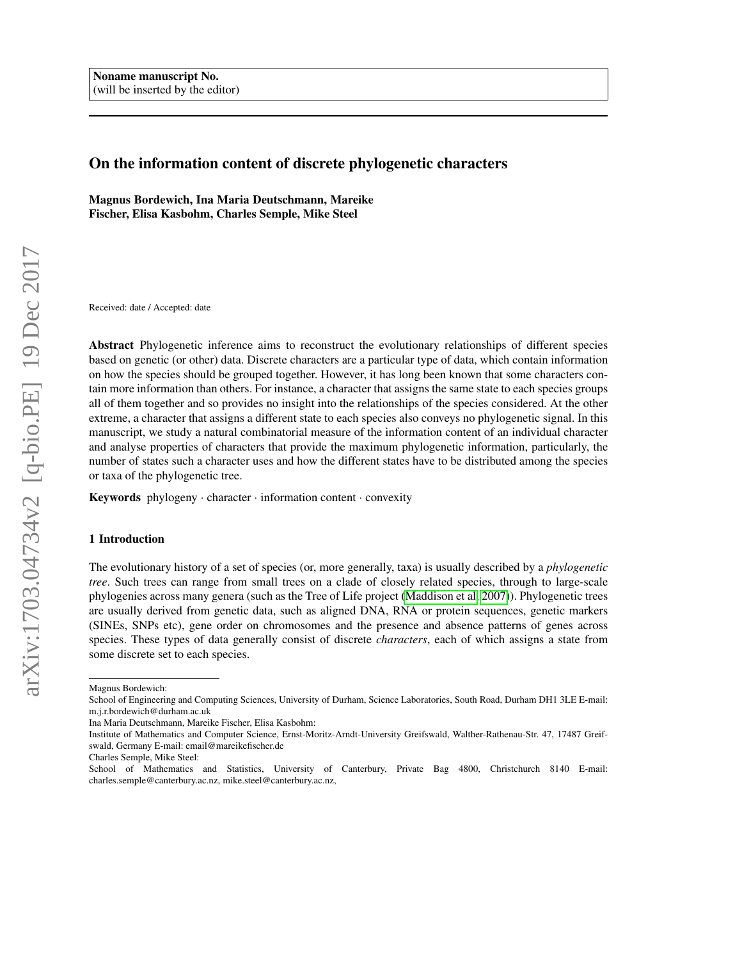# On the information content of discrete phylogenetic characters

Magnus Bordewich, Ina Maria Deutschmann, Mareike Fischer, Elisa Kasbohm, Charles Semple, Mike Steel

Received: date / Accepted: date

Abstract Phylogenetic inference aims to reconstruct the evolutionary relationships of different species based on genetic (or other) data. Discrete characters are a particular type of data, which contain information on how the species should be grouped together. However, it has long been known that some characters contain more information than others. For instance, a character that assigns the same state to each species groups all of them together and so provides no insight into the relationships of the species considered. At the other extreme, a character that assigns a different state to each species also conveys no phylogenetic signal. In this manuscript, we study a natural combinatorial measure of the information content of an individual character and analyse properties of characters that provide the maximum phylogenetic information, particularly, the number of states such a character uses and how the different states have to be distributed among the species or taxa of the phylogenetic tree.

Keywords phylogeny · character · information content · convexity

### 1 Introduction

The evolutionary history of a set of species (or, more generally, taxa) is usually described by a *phylogenetic tree*. Such trees can range from small trees on a clade of closely related species, through to large-scale phylogenies across many genera (such as the Tree of Life project [\(Maddison et al, 2007\)](#page-14-0)). Phylogenetic trees are usually derived from genetic data, such as aligned DNA, RNA or protein sequences, genetic markers (SINEs, SNPs etc), gene order on chromosomes and the presence and absence patterns of genes across species. These types of data generally consist of discrete *characters*, each of which assigns a state from some discrete set to each species.

Magnus Bordewich:

School of Engineering and Computing Sciences, University of Durham, Science Laboratories, South Road, Durham DH1 3LE E-mail: m.j.r.bordewich@durham.ac.uk

Ina Maria Deutschmann, Mareike Fischer, Elisa Kasbohm:

Institute of Mathematics and Computer Science, Ernst-Moritz-Arndt-University Greifswald, Walther-Rathenau-Str. 47, 17487 Greifswald, Germany E-mail: email@mareikefischer.de

Charles Semple, Mike Steel:

School of Mathematics and Statistics, University of Canterbury, Private Bag 4800, Christchurch 8140 E-mail: charles.semple@canterbury.ac.nz, mike.steel@canterbury.ac.nz,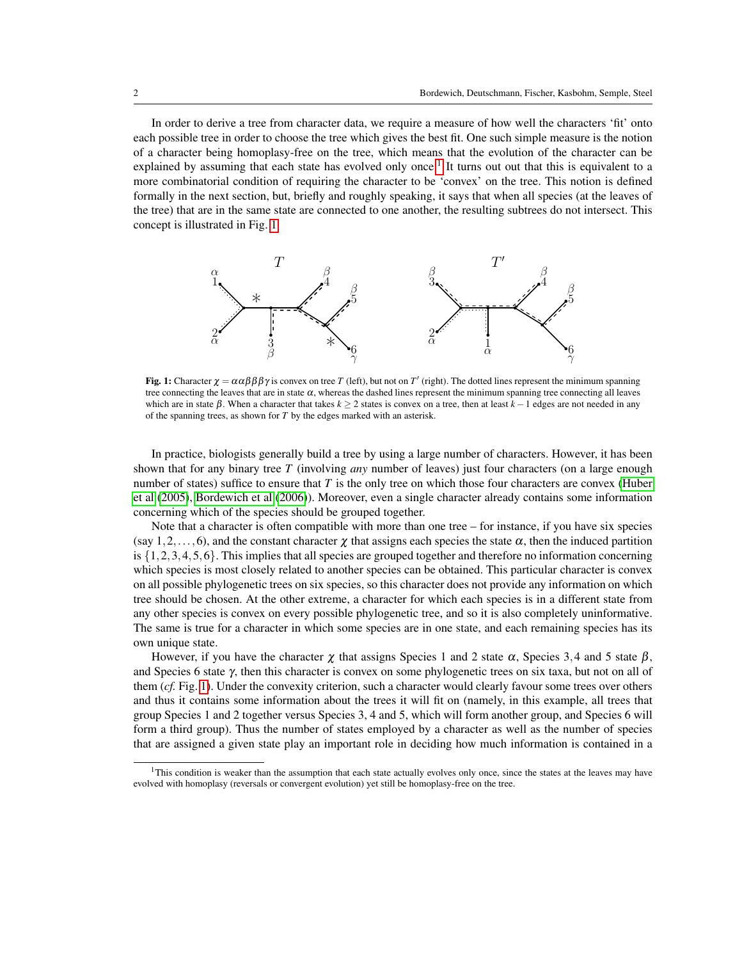In order to derive a tree from character data, we require a measure of how well the characters 'fit' onto each possible tree in order to choose the tree which gives the best fit. One such simple measure is the notion of a character being homoplasy-free on the tree, which means that the evolution of the character can be explained by assuming that each state has evolved only once.<sup>[1](#page-1-0)</sup> It turns out out that this is equivalent to a more combinatorial condition of requiring the character to be 'convex' on the tree. This notion is defined formally in the next section, but, briefly and roughly speaking, it says that when all species (at the leaves of the tree) that are in the same state are connected to one another, the resulting subtrees do not intersect. This concept is illustrated in Fig. [1.](#page-1-1)

<span id="page-1-1"></span>

**Fig. 1:** Character  $\chi = \alpha \alpha \beta \beta \beta \gamma$  is convex on tree *T* (left), but not on *T'* (right). The dotted lines represent the minimum spanning tree connecting the leaves that are in state  $\alpha$ , whereas the dashed lines represent the minimum spanning tree connecting all leaves which are in state  $\beta$ . When a character that takes  $k \geq 2$  states is convex on a tree, then at least  $k - 1$  edges are not needed in any of the spanning trees, as shown for *T* by the edges marked with an asterisk.

In practice, biologists generally build a tree by using a large number of characters. However, it has been shown that for any binary tree *T* (involving *any* number of leaves) just four characters (on a large enough number of states) suffice to ensure that *T* is the only tree on which those four characters are convex [\(Huber](#page-14-1) [et al](#page-14-1) [\(2005\)](#page-14-1), [Bordewich et al](#page-14-2) [\(2006\)](#page-14-2)). Moreover, even a single character already contains some information concerning which of the species should be grouped together.

Note that a character is often compatible with more than one tree – for instance, if you have six species (say 1,2,...,6), and the constant character  $\chi$  that assigns each species the state  $\alpha$ , then the induced partition is  $\{1,2,3,4,5,6\}$ . This implies that all species are grouped together and therefore no information concerning which species is most closely related to another species can be obtained. This particular character is convex on all possible phylogenetic trees on six species, so this character does not provide any information on which tree should be chosen. At the other extreme, a character for which each species is in a different state from any other species is convex on every possible phylogenetic tree, and so it is also completely uninformative. The same is true for a character in which some species are in one state, and each remaining species has its own unique state.

However, if you have the character  $\chi$  that assigns Species 1 and 2 state  $\alpha$ , Species 3,4 and 5 state  $\beta$ , and Species 6 state γ, then this character is convex on some phylogenetic trees on six taxa, but not on all of them (*cf.* Fig. [1\)](#page-1-1). Under the convexity criterion, such a character would clearly favour some trees over others and thus it contains some information about the trees it will fit on (namely, in this example, all trees that group Species 1 and 2 together versus Species 3, 4 and 5, which will form another group, and Species 6 will form a third group). Thus the number of states employed by a character as well as the number of species that are assigned a given state play an important role in deciding how much information is contained in a

<span id="page-1-0"></span> $1$ This condition is weaker than the assumption that each state actually evolves only once, since the states at the leaves may have evolved with homoplasy (reversals or convergent evolution) yet still be homoplasy-free on the tree.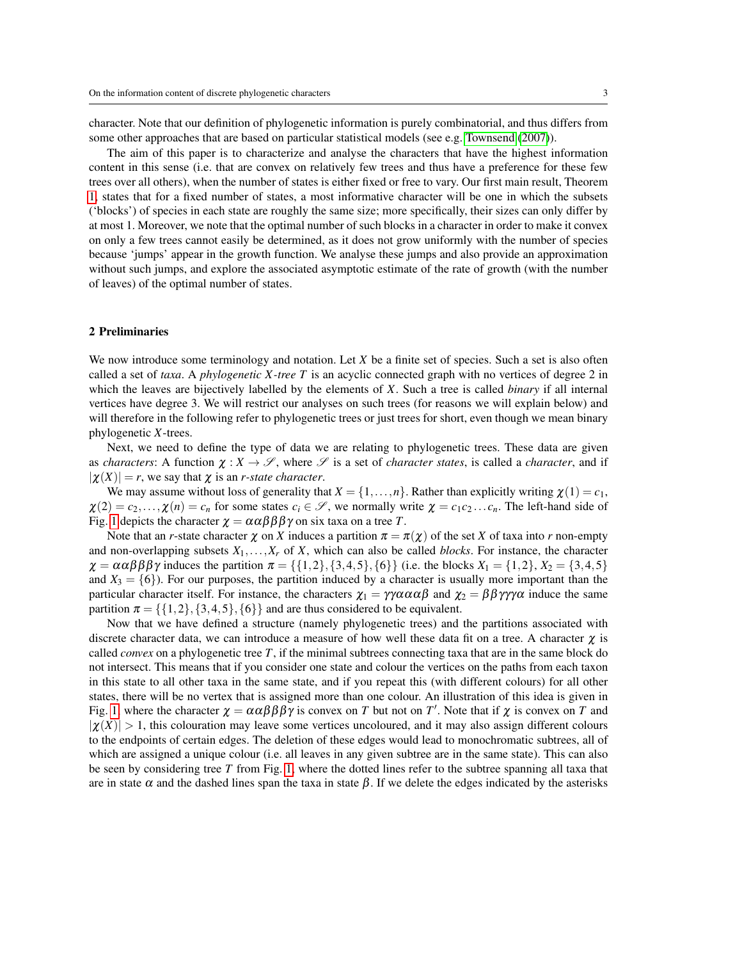character. Note that our definition of phylogenetic information is purely combinatorial, and thus differs from some other approaches that are based on particular statistical models (see e.g. [Townsend](#page-15-0) [\(2007\)](#page-15-0)).

The aim of this paper is to characterize and analyse the characters that have the highest information content in this sense (i.e. that are convex on relatively few trees and thus have a preference for these few trees over all others), when the number of states is either fixed or free to vary. Our first main result, Theorem [1,](#page-4-0) states that for a fixed number of states, a most informative character will be one in which the subsets ('blocks') of species in each state are roughly the same size; more specifically, their sizes can only differ by at most 1. Moreover, we note that the optimal number of such blocks in a character in order to make it convex on only a few trees cannot easily be determined, as it does not grow uniformly with the number of species because 'jumps' appear in the growth function. We analyse these jumps and also provide an approximation without such jumps, and explore the associated asymptotic estimate of the rate of growth (with the number of leaves) of the optimal number of states.

### 2 Preliminaries

We now introduce some terminology and notation. Let *X* be a finite set of species. Such a set is also often called a set of *taxa*. A *phylogenetic X -tree T* is an acyclic connected graph with no vertices of degree 2 in which the leaves are bijectively labelled by the elements of *X*. Such a tree is called *binary* if all internal vertices have degree 3. We will restrict our analyses on such trees (for reasons we will explain below) and will therefore in the following refer to phylogenetic trees or just trees for short, even though we mean binary phylogenetic *X*-trees.

Next, we need to define the type of data we are relating to phylogenetic trees. These data are given as *characters*: A function  $\chi : X \to \mathscr{S}$ , where  $\mathscr{S}$  is a set of *character states*, is called a *character*, and if  $|\chi(X)| = r$ , we say that  $\chi$  is an *r-state character*.

We may assume without loss of generality that  $X = \{1, \ldots, n\}$ . Rather than explicitly writing  $\chi(1) = c_1$ ,  $\chi(2) = c_2, \ldots, \chi(n) = c_n$  for some states  $c_i \in \mathcal{S}$ , we normally write  $\chi = c_1 c_2 \ldots c_n$ . The left-hand side of Fig. [1](#page-1-1) depicts the character  $\chi = \alpha \alpha \beta \beta \beta \gamma$  on six taxa on a tree *T*.

Note that an *r*-state character  $\chi$  on *X* induces a partition  $\pi = \pi(\chi)$  of the set *X* of taxa into *r* non-empty and non-overlapping subsets  $X_1, \ldots, X_r$  of  $X$ , which can also be called *blocks*. For instance, the character  $\chi = \alpha \alpha \beta \beta \beta \gamma$  induces the partition  $\pi = \{\{1,2\}, \{3,4,5\}, \{6\}\}\$  (i.e. the blocks  $X_1 = \{1,2\}, X_2 = \{3,4,5\}$ ) and  $X_3 = \{6\}$ ). For our purposes, the partition induced by a character is usually more important than the particular character itself. For instance, the characters  $\chi_1 = \gamma \gamma \alpha \alpha \alpha \beta$  and  $\chi_2 = \beta \beta \gamma \gamma \gamma \alpha$  induce the same partition  $\pi = \{\{1,2\},\{3,4,5\},\{6\}\}\$ and are thus considered to be equivalent.

Now that we have defined a structure (namely phylogenetic trees) and the partitions associated with discrete character data, we can introduce a measure of how well these data fit on a tree. A character  $\chi$  is called *convex* on a phylogenetic tree *T*, if the minimal subtrees connecting taxa that are in the same block do not intersect. This means that if you consider one state and colour the vertices on the paths from each taxon in this state to all other taxa in the same state, and if you repeat this (with different colours) for all other states, there will be no vertex that is assigned more than one colour. An illustration of this idea is given in Fig. [1,](#page-1-1) where the character  $\chi = \alpha \alpha \beta \beta \beta \gamma$  is convex on *T* but not on *T'*. Note that if  $\chi$  is convex on *T* and  $|\chi(X)| > 1$ , this colouration may leave some vertices uncoloured, and it may also assign different colours to the endpoints of certain edges. The deletion of these edges would lead to monochromatic subtrees, all of which are assigned a unique colour (i.e. all leaves in any given subtree are in the same state). This can also be seen by considering tree *T* from Fig. [1,](#page-1-1) where the dotted lines refer to the subtree spanning all taxa that are in state  $\alpha$  and the dashed lines span the taxa in state  $\beta$ . If we delete the edges indicated by the asterisks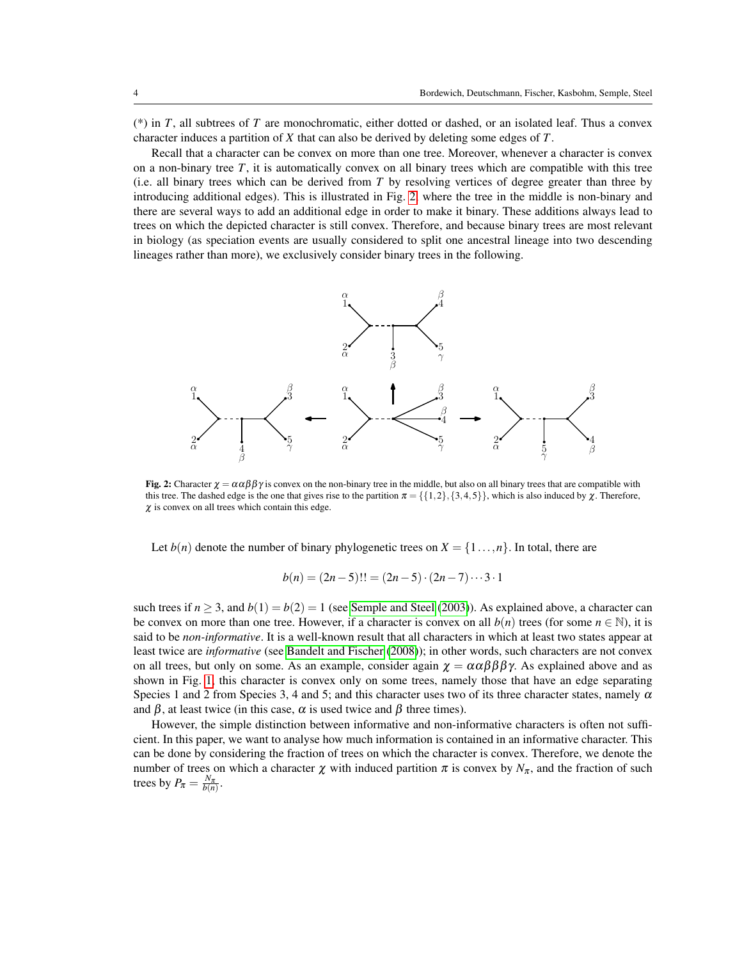(\*) in *T*, all subtrees of *T* are monochromatic, either dotted or dashed, or an isolated leaf. Thus a convex character induces a partition of *X* that can also be derived by deleting some edges of *T*.

Recall that a character can be convex on more than one tree. Moreover, whenever a character is convex on a non-binary tree *T*, it is automatically convex on all binary trees which are compatible with this tree (i.e. all binary trees which can be derived from *T* by resolving vertices of degree greater than three by introducing additional edges). This is illustrated in Fig. [2,](#page-3-0) where the tree in the middle is non-binary and there are several ways to add an additional edge in order to make it binary. These additions always lead to trees on which the depicted character is still convex. Therefore, and because binary trees are most relevant in biology (as speciation events are usually considered to split one ancestral lineage into two descending lineages rather than more), we exclusively consider binary trees in the following.

<span id="page-3-0"></span>

**Fig. 2:** Character  $\chi = \alpha \alpha \beta \beta \gamma$  is convex on the non-binary tree in the middle, but also on all binary trees that are compatible with this tree. The dashed edge is the one that gives rise to the partition  $\pi = \{ \{1,2\}, \{3,4,5\} \}$ , which is also induced by  $\chi$ . Therefore,  $\chi$  is convex on all trees which contain this edge.

Let  $b(n)$  denote the number of binary phylogenetic trees on  $X = \{1, ..., n\}$ . In total, there are

$$
b(n) = (2n-5)!! = (2n-5) \cdot (2n-7) \cdots 3 \cdot 1
$$

such trees if  $n > 3$ , and  $b(1) = b(2) = 1$  (see [Semple and Steel](#page-15-1) [\(2003\)](#page-15-1)). As explained above, a character can be convex on more than one tree. However, if a character is convex on all  $b(n)$  trees (for some  $n \in \mathbb{N}$ ), it is said to be *non-informative*. It is a well-known result that all characters in which at least two states appear at least twice are *informative* (see [Bandelt and Fischer](#page-14-3) [\(2008\)](#page-14-3)); in other words, such characters are not convex on all trees, but only on some. As an example, consider again  $\chi = \alpha \alpha \beta \beta \beta \gamma$ . As explained above and as shown in Fig. [1,](#page-1-1) this character is convex only on some trees, namely those that have an edge separating Species 1 and 2 from Species 3, 4 and 5; and this character uses two of its three character states, namely  $\alpha$ and  $\beta$ , at least twice (in this case,  $\alpha$  is used twice and  $\beta$  three times).

However, the simple distinction between informative and non-informative characters is often not sufficient. In this paper, we want to analyse how much information is contained in an informative character. This can be done by considering the fraction of trees on which the character is convex. Therefore, we denote the number of trees on which a character  $\chi$  with induced partition  $\pi$  is convex by  $N_{\pi}$ , and the fraction of such trees by  $P_{\pi} = \frac{N_{\pi}}{b(n)}$ .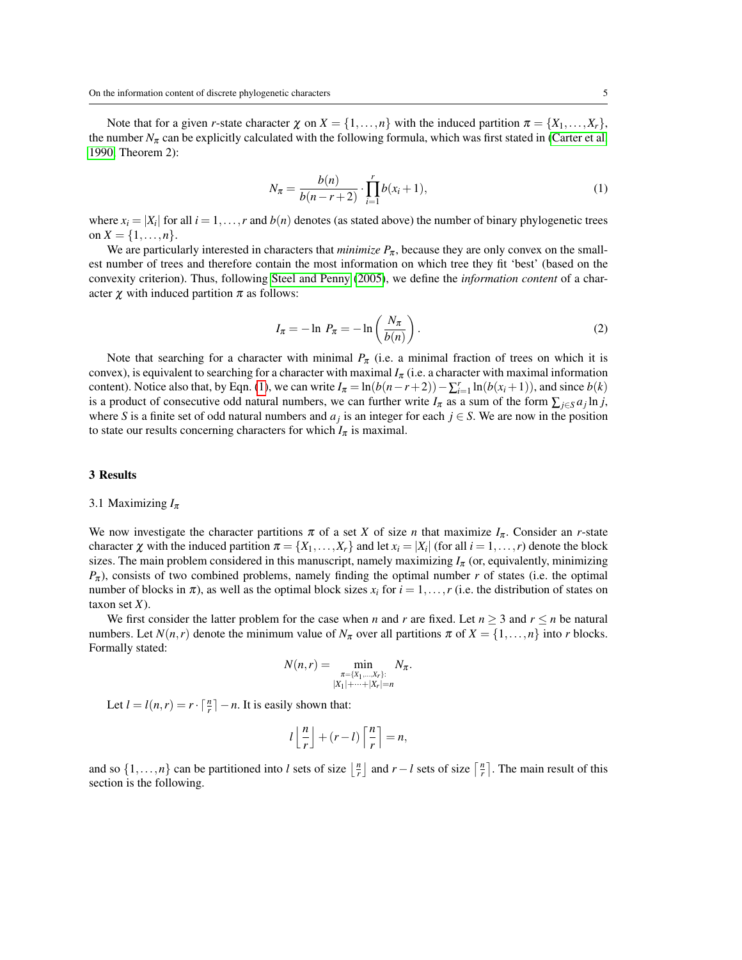<span id="page-4-1"></span>Note that for a given *r*-state character  $\chi$  on  $X = \{1, \ldots, n\}$  with the induced partition  $\pi = \{X_1, \ldots, X_r\}$ , the number  $N_\pi$  can be explicitly calculated with the following formula, which was first stated in [\(Carter et al,](#page-14-4) [1990,](#page-14-4) Theorem 2):

$$
N_{\pi} = \frac{b(n)}{b(n-r+2)} \cdot \prod_{i=1}^{r} b(x_i+1),
$$
 (1)

where  $x_i = |X_i|$  for all  $i = 1, ..., r$  and  $b(n)$  denotes (as stated above) the number of binary phylogenetic trees on  $X = \{1, ..., n\}.$ 

We are particularly interested in characters that *minimize*  $P_{\pi}$ , because they are only convex on the smallest number of trees and therefore contain the most information on which tree they fit 'best' (based on the convexity criterion). Thus, following [Steel and Penny](#page-15-2) [\(2005\)](#page-15-2), we define the *information content* of a character  $\chi$  with induced partition  $\pi$  as follows:

$$
I_{\pi} = -\ln P_{\pi} = -\ln\left(\frac{N_{\pi}}{b(n)}\right). \tag{2}
$$

Note that searching for a character with minimal  $P_{\pi}$  (i.e. a minimal fraction of trees on which it is convex), is equivalent to searching for a character with maximal  $I_{\pi}$  (i.e. a character with maximal information content). Notice also that, by Eqn. [\(1\)](#page-4-1), we can write  $I_{\pi} = \ln(b(n-r+2)) - \sum_{i=1}^{r} \ln(b(x_i+1))$ , and since  $b(k)$ is a product of consecutive odd natural numbers, we can further write  $I_\pi$  as a sum of the form  $\sum_{j \in S} a_j \ln j$ , where *S* is a finite set of odd natural numbers and  $a_j$  is an integer for each  $j \in S$ . We are now in the position to state our results concerning characters for which  $I_{\pi}$  is maximal.

#### 3 Results

#### 3.1 Maximizing *I*<sup>π</sup>

We now investigate the character partitions  $\pi$  of a set *X* of size *n* that maximize  $I_{\pi}$ . Consider an *r*-state character  $\chi$  with the induced partition  $\pi = \{X_1, \ldots, X_r\}$  and let  $x_i = |X_i|$  (for all  $i = 1, \ldots, r$ ) denote the block sizes. The main problem considered in this manuscript, namely maximizing  $I_{\pi}$  (or, equivalently, minimizing  $P_{\pi}$ ), consists of two combined problems, namely finding the optimal number *r* of states (i.e. the optimal number of blocks in  $\pi$ ), as well as the optimal block sizes  $x_i$  for  $i = 1, \ldots, r$  (i.e. the distribution of states on taxon set *X*).

We first consider the latter problem for the case when *n* and *r* are fixed. Let  $n \ge 3$  and  $r \le n$  be natural numbers. Let  $N(n,r)$  denote the minimum value of  $N_\pi$  over all partitions  $\pi$  of  $X = \{1, \ldots, n\}$  into *r* blocks. Formally stated:

$$
N(n,r) = \min_{\substack{\pi = \{X_1, \dots, X_r\}:\\ |X_1| + \dots + |X_r| = n}} N_{\pi}.
$$

Let  $l = l(n,r) = r \cdot \lceil \frac{n}{r} \rceil - n$ . It is easily shown that:

$$
l\left\lfloor\frac{n}{r}\right\rfloor+(r-l)\left\lceil\frac{n}{r}\right\rceil=n,
$$

<span id="page-4-0"></span>and so  $\{1,\ldots,n\}$  can be partitioned into *l* sets of size  $\lfloor \frac{n}{r} \rfloor$  and  $r - l$  sets of size  $\lceil \frac{n}{r} \rceil$ . The main result of this section is the following.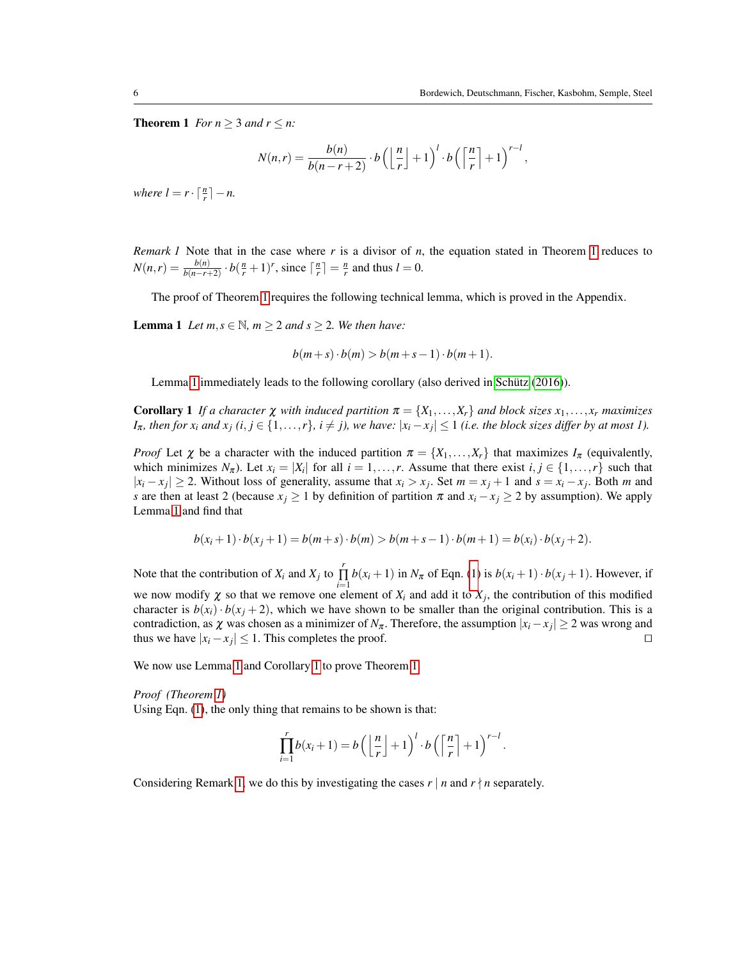**Theorem 1** *For n*  $\geq$  3 *and r*  $\leq$  *n*:

$$
N(n,r) = \frac{b(n)}{b(n-r+2)} \cdot b\left(\left\lfloor \frac{n}{r} \right\rfloor + 1\right)^{l} \cdot b\left(\left\lceil \frac{n}{r} \right\rceil + 1\right)^{r-l},
$$

*where*  $l = r \cdot \lceil \frac{n}{r} \rceil - n$ .

<span id="page-5-2"></span>*Remark 1* Note that in the case where *r* is a divisor of *n*, the equation stated in Theorem [1](#page-4-0) reduces to  $N(n,r) = \frac{b(n)}{b(n-r+2)} \cdot b(\frac{n}{r}+1)^r$ , since  $\lceil \frac{n}{r} \rceil = \frac{n}{r}$  and thus  $l = 0$ .

The proof of Theorem [1](#page-4-0) requires the following technical lemma, which is proved in the Appendix.

<span id="page-5-0"></span>**Lemma 1** *Let*  $m, s \in \mathbb{N}$ *,*  $m \geq 2$  *and*  $s \geq 2$ *. We then have:* 

$$
b(m+s)\cdot b(m) > b(m+s-1)\cdot b(m+1).
$$

Lemma [1](#page-4-0) immediately leads to the following corollary (also derived in [Schütz](#page-14-5) [\(2016\)](#page-14-5)).

<span id="page-5-1"></span>**Corollary 1** If a character  $\chi$  with induced partition  $\pi = \{X_1, \ldots, X_r\}$  and block sizes  $x_1, \ldots, x_r$  maximizes *I*<sub>π</sub>, then for  $x_i$  and  $x_j$  ( $i, j \in \{1, \ldots, r\}$ ,  $i \neq j$ ), we have:  $|x_i - x_j| \leq 1$  (i.e. the block sizes differ by at most 1).

*Proof* Let  $\chi$  be a character with the induced partition  $\pi = \{X_1, \ldots, X_r\}$  that maximizes  $I_{\pi}$  (equivalently, which minimizes  $N_{\pi}$ ). Let  $x_i = |X_i|$  for all  $i = 1, ..., r$ . Assume that there exist  $i, j \in \{1, ..., r\}$  such that  $|x_i - x_j| \ge 2$ . Without loss of generality, assume that  $x_i > x_j$ . Set  $m = x_j + 1$  and  $s = x_i - x_j$ . Both m and *s* are then at least 2 (because  $x_j \ge 1$  by definition of partition  $\pi$  and  $x_i - x_j \ge 2$  by assumption). We apply Lemma [1](#page-4-0) and find that

$$
b(x_i+1)\cdot b(x_j+1) = b(m+s)\cdot b(m) > b(m+s-1)\cdot b(m+1) = b(x_i)\cdot b(x_j+2).
$$

Note that the contribution of  $X_i$  and  $X_j$  to  $\prod$  $\prod_{i=1}$  *b*(*x*<sub>*i*</sub> + 1) in *N*<sub>π</sub> of Eqn. [\(1\)](#page-4-1) is *b*(*x*<sub>*i*</sub> + 1)⋅ *b*(*x*<sub>*j*</sub> + 1). However, if we now modify  $\chi$  so that we remove one element of  $X_i$  and add it to  $X_j$ , the contribution of this modified character is  $b(x_i) \cdot b(x_i+2)$ , which we have shown to be smaller than the original contribution. This is a contradiction, as  $\chi$  was chosen as a minimizer of  $N_{\pi}$ . Therefore, the assumption  $|x_i - x_j| \ge 2$  was wrong and thus we have  $|x_i - x_j| \le 1$ . This completes the proof.  $\square$ 

We now use Lemma [1](#page-5-0) and Corollary [1](#page-5-1) to prove Theorem [1.](#page-4-0)

*Proof (Theorem [1\)](#page-4-0)*

Using Eqn. [\(1\)](#page-4-1), the only thing that remains to be shown is that:

$$
\prod_{i=1}^r b(x_i+1) = b\left(\left\lfloor\frac{n}{r}\right\rfloor + 1\right)^l \cdot b\left(\left\lceil\frac{n}{r}\right\rceil + 1\right)^{r-l}.
$$

Considering Remark [1,](#page-5-2) we do this by investigating the cases  $r \mid n$  and  $r \nmid n$  separately.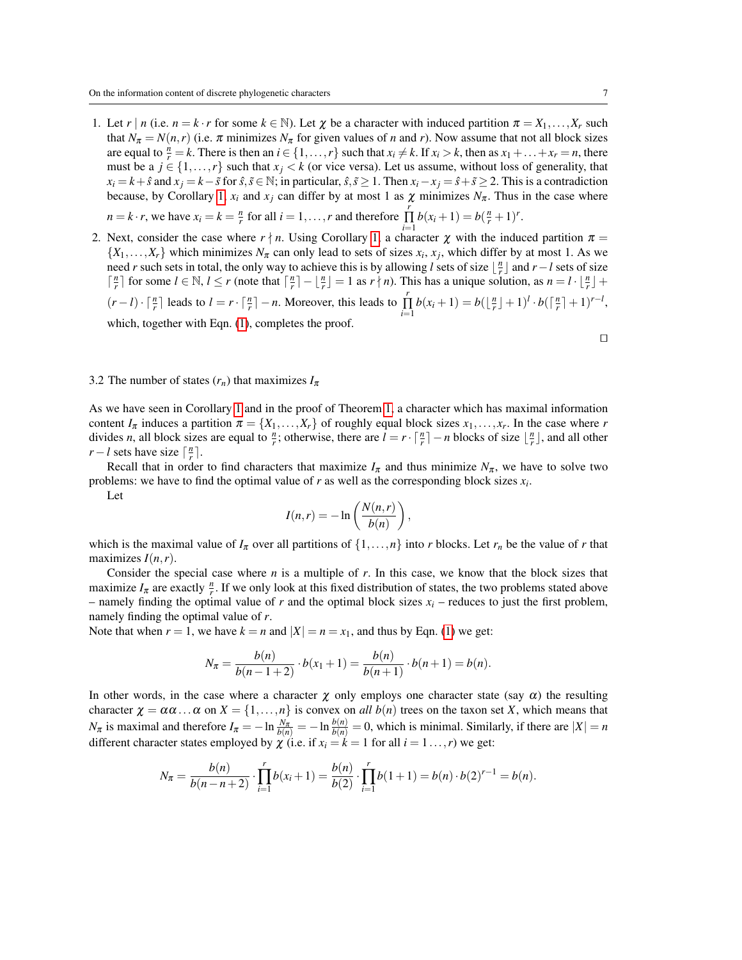- 1. Let  $r | n$  (i.e.  $n = k \cdot r$  for some  $k \in \mathbb{N}$ ). Let  $\chi$  be a character with induced partition  $\pi = X_1, \ldots, X_r$  such that  $N_{\pi} = N(n,r)$  (i.e.  $\pi$  minimizes  $N_{\pi}$  for given values of *n* and *r*). Now assume that not all block sizes are equal to  $\frac{n}{r} = k$ . There is then an  $i \in \{1, ..., r\}$  such that  $x_i \neq k$ . If  $x_i > k$ , then as  $x_1 + ... + x_r = n$ , there must be a  $j \in \{1, \ldots, r\}$  such that  $x_j < k$  (or vice versa). Let us assume, without loss of generality, that  $x_i = k + \hat{s}$  and  $x_i = k - \tilde{s}$  for  $\hat{s}, \tilde{s} \in \mathbb{N}$ ; in particular,  $\hat{s}, \tilde{s} \ge 1$ . Then  $x_i - x_j = \hat{s} + \tilde{s} \ge 2$ . This is a contradiction because, by Corollary [1,](#page-5-1)  $x_i$  and  $x_j$  can differ by at most 1 as  $\chi$  minimizes  $N_\pi$ . Thus in the case where  $n = k \cdot r$ , we have  $x_i = k = \frac{n}{r}$  for all  $i = 1, ..., r$  and therefore  $\prod_{i=1}^{r}$  $\prod_{i=1}^{r} b(x_i+1) = b(\frac{n}{r}+1)^r.$
- 2. Next, consider the case where  $r \nmid n$ . Using Corollary [1,](#page-5-1) a character  $\chi$  with the induced partition  $\pi =$  $\{X_1, \ldots, X_r\}$  which minimizes  $N_\pi$  can only lead to sets of sizes  $x_i, x_j$ , which differ by at most 1. As we need *r* such sets in total, the only way to achieve this is by allowing *l* sets of size  $\lfloor \frac{n}{r} \rfloor$  and *r*−*l* sets of size  $\lceil \frac{n}{r} \rceil$  for some  $l \in \mathbb{N}$ ,  $l \leq r$  (note that  $\lceil \frac{n}{r} \rceil - \lfloor \frac{n}{r} \rfloor = 1$  as  $r \nmid n$ ). This has a unique solution, as  $n = l \cdot \lfloor \frac{n}{r} \rfloor +$  $(r-l) \cdot \lceil \frac{n}{r} \rceil$  leads to  $l = r \cdot \lceil \frac{n}{r} \rceil - n$ . Moreover, this leads to  $\int$  $\prod_{i=1}^{r} b(x_i+1) = b(\lfloor \frac{n}{r} \rfloor + 1)^l \cdot b(\lceil \frac{n}{r} \rceil + 1)^{r-l},$ which, together with Eqn.  $(1)$ , completes the proof.

# $\Box$

#### 3.2 The number of states  $(r_n)$  that maximizes  $I_\pi$

As we have seen in Corollary [1](#page-5-1) and in the proof of Theorem [1,](#page-4-0) a character which has maximal information content  $I_{\pi}$  induces a partition  $\pi = \{X_1, \ldots, X_r\}$  of roughly equal block sizes  $x_1, \ldots, x_r$ . In the case where *r* divides *n*, all block sizes are equal to  $\frac{n}{r}$ ; otherwise, there are  $l = r \cdot \lceil \frac{n}{r} \rceil - n$  blocks of size  $\lfloor \frac{n}{r} \rfloor$ , and all other *r* − *l* sets have size  $\lceil \frac{n}{r} \rceil$ .

Recall that in order to find characters that maximize  $I_{\pi}$  and thus minimize  $N_{\pi}$ , we have to solve two problems: we have to find the optimal value of *r* as well as the corresponding block sizes *x<sup>i</sup>* .

Let

$$
I(n,r) = -\ln\left(\frac{N(n,r)}{b(n)}\right),\,
$$

which is the maximal value of  $I_{\pi}$  over all partitions of  $\{1,\ldots,n\}$  into *r* blocks. Let  $r_n$  be the value of *r* that maximizes *I*(*n*,*r*).

Consider the special case where *n* is a multiple of *r*. In this case, we know that the block sizes that maximize  $I_{\pi}$  are exactly  $\frac{n}{r}$ . If we only look at this fixed distribution of states, the two problems stated above – namely finding the optimal value of  $r$  and the optimal block sizes  $x_i$  – reduces to just the first problem, namely finding the optimal value of *r*.

Note that when  $r = 1$ , we have  $k = n$  and  $|X| = n = x_1$ , and thus by Eqn. [\(1\)](#page-4-1) we get:

$$
N_{\pi} = \frac{b(n)}{b(n-1+2)} \cdot b(x_1+1) = \frac{b(n)}{b(n+1)} \cdot b(n+1) = b(n).
$$

In other words, in the case where a character  $\chi$  only employs one character state (say  $\alpha$ ) the resulting character  $\chi = \alpha \alpha \dots \alpha$  on  $X = \{1, \dots, n\}$  is convex on *all*  $b(n)$  trees on the taxon set *X*, which means that *N*<sub>π</sub> is maximal and therefore  $I_{\pi} = -\ln \frac{N_{\pi}}{b(n)} = -\ln \frac{b(n)}{b(n)} = 0$ , which is minimal. Similarly, if there are  $|X| = n$ different character states employed by  $\chi$  (i.e. if  $x_i = k = 1$  for all  $i = 1, ..., r$ ) we get:

$$
N_{\pi} = \frac{b(n)}{b(n-n+2)} \cdot \prod_{i=1}^{r} b(x_i+1) = \frac{b(n)}{b(2)} \cdot \prod_{i=1}^{r} b(1+1) = b(n) \cdot b(2)^{r-1} = b(n).
$$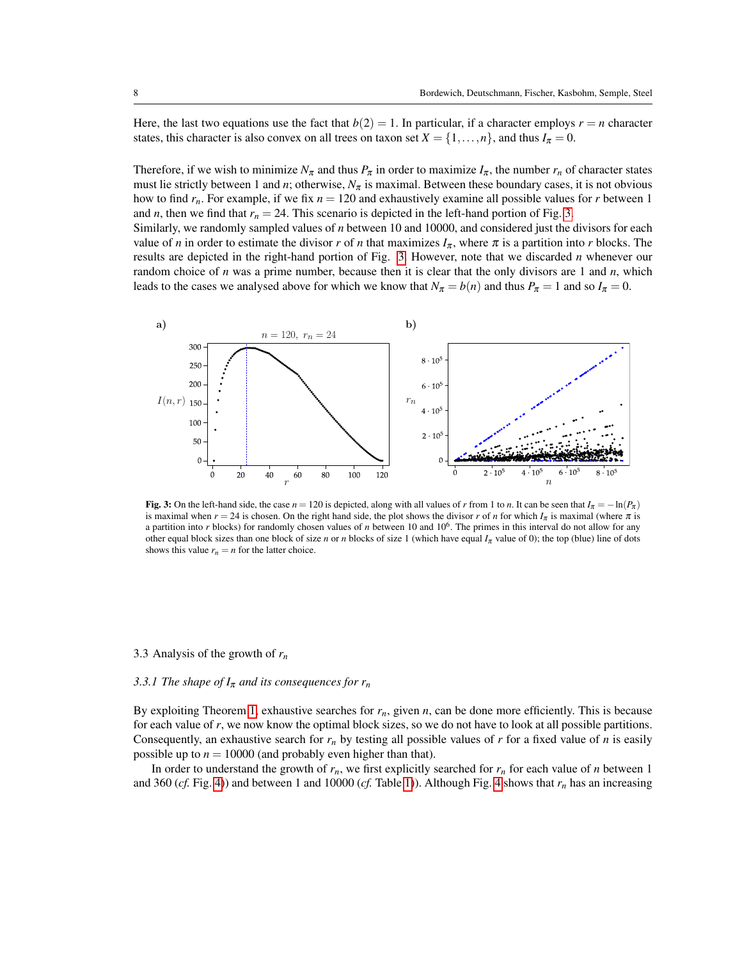Here, the last two equations use the fact that  $b(2) = 1$ . In particular, if a character employs  $r = n$  character states, this character is also convex on all trees on taxon set  $X = \{1, \ldots, n\}$ , and thus  $I_{\pi} = 0$ .

Therefore, if we wish to minimize  $N_\pi$  and thus  $P_\pi$  in order to maximize  $I_\pi$ , the number  $r_n$  of character states must lie strictly between 1 and *n*; otherwise, *N*<sup>π</sup> is maximal. Between these boundary cases, it is not obvious how to find *rn*. For example, if we fix *n* = 120 and exhaustively examine all possible values for *r* between 1 and *n*, then we find that  $r_n = 24$ . This scenario is depicted in the left-hand portion of Fig. [3.](#page-7-0)

Similarly, we randomly sampled values of *n* between 10 and 10000, and considered just the divisors for each value of *n* in order to estimate the divisor *r* of *n* that maximizes  $I_{\pi}$ , where  $\pi$  is a partition into *r* blocks. The results are depicted in the right-hand portion of Fig. [3.](#page-7-0) However, note that we discarded *n* whenever our random choice of *n* was a prime number, because then it is clear that the only divisors are 1 and *n*, which leads to the cases we analysed above for which we know that  $N_{\pi} = b(n)$  and thus  $P_{\pi} = 1$  and so  $I_{\pi} = 0$ .

<span id="page-7-0"></span>

Fig. 3: On the left-hand side, the case  $n = 120$  is depicted, along with all values of r from 1 to n. It can be seen that  $I_{\pi} = -\ln(P_{\pi})$ is maximal when  $r = 24$  is chosen. On the right hand side, the plot shows the divisor r of *n* for which  $I_{\pi}$  is maximal (where  $\pi$  is a partition into *r* blocks) for randomly chosen values of *n* between 10 and 10<sup>6</sup>. The primes in this interval do not allow for any other equal block sizes than one block of size *n* or *n* blocks of size 1 (which have equal  $I_{\pi}$  value of 0); the top (blue) line of dots shows this value  $r_n = n$  for the latter choice.

## 3.3 Analysis of the growth of *r<sup>n</sup>*

### *3.3.1 The shape of*  $I_{\pi}$  *and its consequences for r<sub>n</sub>*

By exploiting Theorem [1,](#page-4-0) exhaustive searches for  $r_n$ , given  $n$ , can be done more efficiently. This is because for each value of *r*, we now know the optimal block sizes, so we do not have to look at all possible partitions. Consequently, an exhaustive search for  $r_n$  by testing all possible values of  $r$  for a fixed value of  $n$  is easily possible up to  $n = 10000$  (and probably even higher than that).

In order to understand the growth of  $r_n$ , we first explicitly searched for  $r_n$  for each value of *n* between 1 and 360 (*cf.* Fig. [4\)](#page-8-0)) and between 1 and 10000 (*cf.* Table [1\)](#page-8-1)). Although Fig. [4](#page-8-0) shows that *r<sup>n</sup>* has an increasing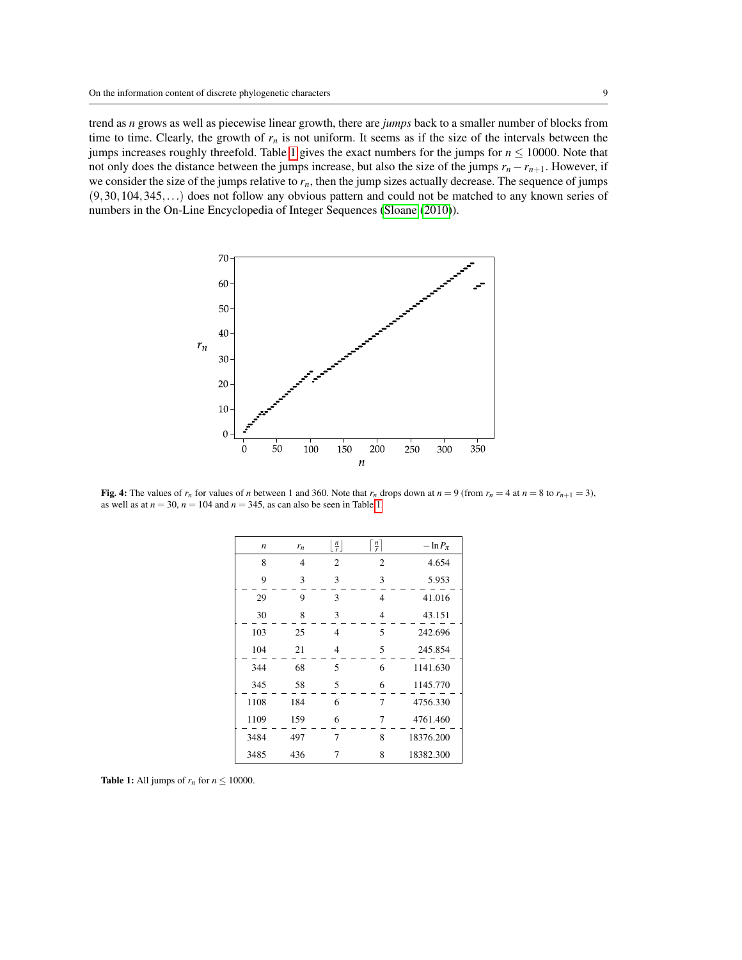trend as *n* grows as well as piecewise linear growth, there are *jumps* back to a smaller number of blocks from time to time. Clearly, the growth of  $r<sub>n</sub>$  is not uniform. It seems as if the size of the intervals between the jumps increases roughly threefold. Table [1](#page-8-1) gives the exact numbers for the jumps for *n* ≤ 10000. Note that not only does the distance between the jumps increase, but also the size of the jumps  $r_n - r_{n+1}$ . However, if we consider the size of the jumps relative to  $r<sub>n</sub>$ , then the jump sizes actually decrease. The sequence of jumps (9,30,104,345,...) does not follow any obvious pattern and could not be matched to any known series of numbers in the On-Line Encyclopedia of Integer Sequences [\(Sloane](#page-15-3) [\(2010\)](#page-15-3)).

<span id="page-8-0"></span>

<span id="page-8-1"></span>Fig. 4: The values of  $r_n$  for values of *n* between 1 and 360. Note that  $r_n$  drops down at  $n = 9$  (from  $r_n = 4$  at  $n = 8$  to  $r_{n+1} = 3$ ), as well as at  $n = 30$ ,  $n = 104$  and  $n = 345$ , as can also be seen in Table [1.](#page-8-1)

| $\boldsymbol{n}$ | $r_n$ | $\lfloor \frac{n}{r} \rfloor$ | $\left\lceil \frac{n}{r} \right\rceil$ | $-\ln P_{\pi}$ |
|------------------|-------|-------------------------------|----------------------------------------|----------------|
| 8                | 4     | $\overline{2}$                | $\overline{2}$                         | 4.654          |
| 9                | 3     | 3                             | 3                                      | 5.953          |
| 29               | 9     | 3                             | $\overline{4}$                         | 41.016         |
| 30               | 8     | 3                             | 4                                      | 43.151         |
| 103              | 25    | 4                             | 5                                      | 242.696        |
| 104              | 21    | $\overline{4}$                | 5                                      | 245.854        |
| 344              | 68    | 5                             | 6                                      | 1141.630       |
| 345              | 58    | 5                             | 6                                      | 1145.770       |
| 1108             | 184   | 6                             | 7                                      | 4756.330       |
| 1109             | 159   | 6                             | 7                                      | 4761.460       |
| 3484             | 497   | 7                             | 8                                      | 18376.200      |
| 3485             | 436   | 7                             | 8                                      | 18382.300      |

**Table 1:** All jumps of  $r_n$  for  $n \le 10000$ .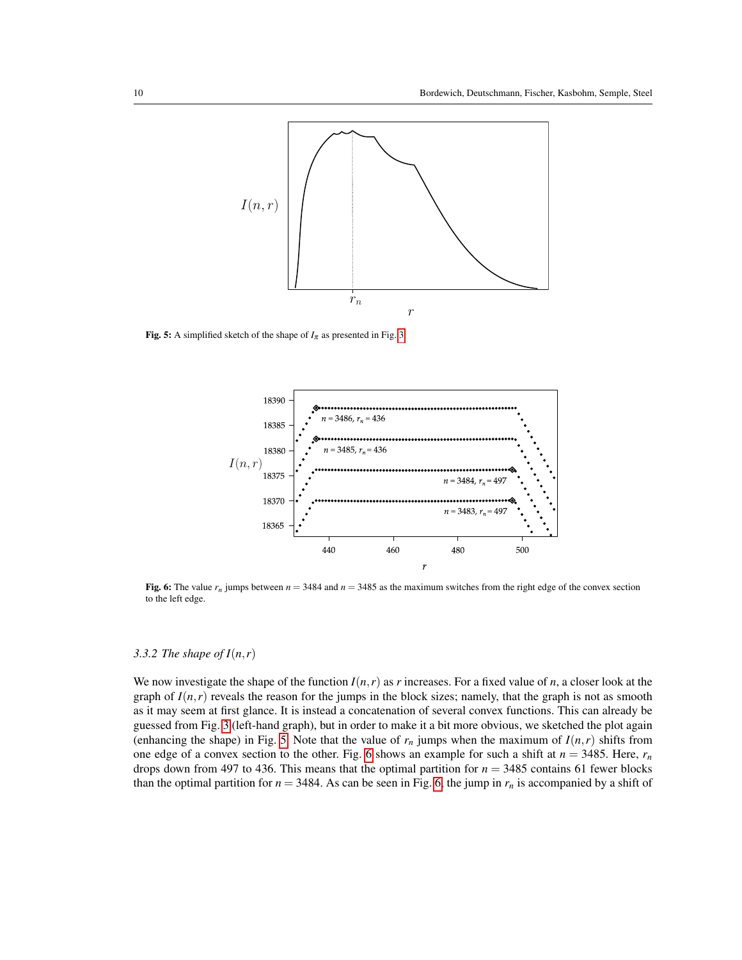<span id="page-9-0"></span>

<span id="page-9-1"></span>Fig. 5: A simplified sketch of the shape of  $I_{\pi}$  as presented in Fig. [3.](#page-7-0)



Fig. 6: The value  $r_n$  jumps between  $n = 3484$  and  $n = 3485$  as the maximum switches from the right edge of the convex section to the left edge.

# *3.3.2 The shape of*  $I(n,r)$

We now investigate the shape of the function  $I(n,r)$  as r increases. For a fixed value of n, a closer look at the graph of  $I(n,r)$  reveals the reason for the jumps in the block sizes; namely, that the graph is not as smooth as it may seem at first glance. It is instead a concatenation of several convex functions. This can already be guessed from Fig. [3](#page-7-0) (left-hand graph), but in order to make it a bit more obvious, we sketched the plot again (enhancing the shape) in Fig. [5.](#page-9-0) Note that the value of  $r_n$  jumps when the maximum of  $I(n,r)$  shifts from one edge of a convex section to the other. Fig. [6](#page-9-1) shows an example for such a shift at  $n = 3485$ . Here,  $r<sub>n</sub>$ drops down from 497 to 436. This means that the optimal partition for *n* = 3485 contains 61 fewer blocks than the optimal partition for  $n = 3484$ . As can be seen in Fig. [6,](#page-9-1) the jump in  $r<sub>n</sub>$  is accompanied by a shift of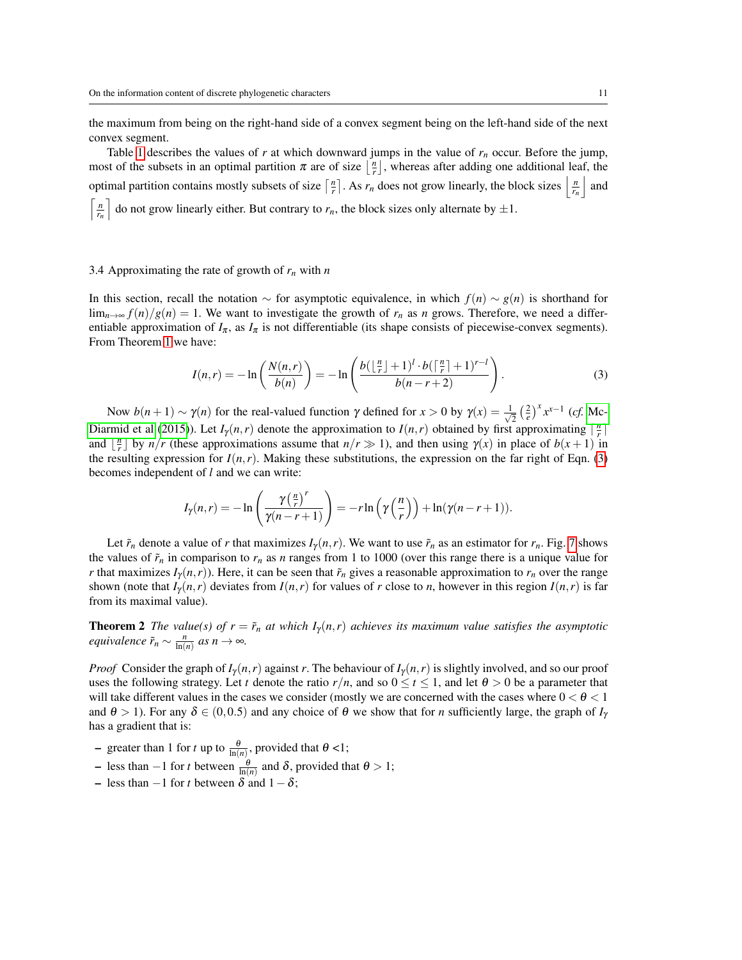the maximum from being on the right-hand side of a convex segment being on the left-hand side of the next convex segment.

Table [1](#page-8-1) describes the values of  $r$  at which downward jumps in the value of  $r_n$  occur. Before the jump, most of the subsets in an optimal partition  $\pi$  are of size  $\lfloor \frac{n}{r} \rfloor$ , whereas after adding one additional leaf, the optimal partition contains mostly subsets of size  $\left\lceil \frac{n}{r} \right\rceil$ . As  $r_n$  does not grow linearly, the block sizes  $\left\lceil \frac{n}{r_n} \right\rceil$  and  $\left\lceil \frac{n}{r_n} \right\rceil$  do not grow linearly either. But contrary to  $r_n$ , the block sizes only alternate by  $\pm 1$ .

#### 3.4 Approximating the rate of growth of *r<sup>n</sup>* with *n*

In this section, recall the notation ∼ for asymptotic equivalence, in which *f*(*n*) ∼ *g*(*n*) is shorthand for  $\lim_{n\to\infty} f(n)/g(n) = 1$ . We want to investigate the growth of  $r_n$  as *n* grows. Therefore, we need a differentiable approximation of  $I_{\pi}$ , as  $I_{\pi}$  is not differentiable (its shape consists of piecewise-convex segments). From Theorem [1](#page-4-0) we have:

<span id="page-10-0"></span>
$$
I(n,r) = -\ln\left(\frac{N(n,r)}{b(n)}\right) = -\ln\left(\frac{b(\lfloor\frac{n}{r}\rfloor+1)^l \cdot b(\lceil\frac{n}{r}\rceil+1)^{r-l}}{b(n-r+2)}\right).
$$
 (3)

Now *b*(*n* + 1) ~ γ(*n*) for the real-valued function γ defined for *x* > 0 by γ(*x*) =  $\frac{1}{\sqrt{2}}$  $\frac{1}{2} \left(\frac{2}{e}\right)^x x^{x-1}$  (*cf.* [Mc-](#page-14-6)[Diarmid et al](#page-14-6) [\(2015\)](#page-14-6)). Let  $I_{\gamma}(n,r)$  denote the approximation to  $I(n,r)$  obtained by first approximating  $\lceil \frac{n}{r} \rceil$ and  $\lfloor \frac{n}{r} \rfloor$  by  $n/r$  (these approximations assume that  $n/r \gg 1$ ), and then using  $\gamma(x)$  in place of  $b(x+1)$  in the resulting expression for  $I(n,r)$ . Making these substitutions, the expression on the far right of Eqn. [\(3\)](#page-10-0) becomes independent of *l* and we can write:

$$
I_{\gamma}(n,r) = -\ln\left(\frac{\gamma(\frac{n}{r})^r}{\gamma(n-r+1)}\right) = -r\ln\left(\gamma(\frac{n}{r})\right) + \ln(\gamma(n-r+1)).
$$

Let  $\tilde{r}_n$  denote a value of *r* that maximizes  $I_\gamma(n,r)$ . We want to use  $\tilde{r}_n$  as an estimator for  $r_n$ . Fig. [7](#page-11-0) shows the values of  $\tilde{r}_n$  in comparison to  $r_n$  as *n* ranges from 1 to 1000 (over this range there is a unique value for *r* that maximizes  $I_{\gamma}(n,r)$ ). Here, it can be seen that  $\tilde{r}_n$  gives a reasonable approximation to  $r_n$  over the range shown (note that  $I_{\gamma}(n,r)$  deviates from  $I(n,r)$  for values of *r* close to *n*, however in this region  $I(n,r)$  is far from its maximal value).

<span id="page-10-1"></span>**Theorem 2** *The value(s) of*  $r = \tilde{r}_n$  *at which*  $I_\gamma(n,r)$  *achieves its maximum value satisfies the asymptotic equivalence*  $\tilde{r}_n \sim \frac{n}{\ln(n)}$  *as*  $n \to \infty$ *.* 

*Proof* Consider the graph of  $I_{\gamma}(n,r)$  against *r*. The behaviour of  $I_{\gamma}(n,r)$  is slightly involved, and so our proof uses the following strategy. Let *t* denote the ratio  $r/n$ , and so  $0 \le t \le 1$ , and let  $\theta > 0$  be a parameter that will take different values in the cases we consider (mostly we are concerned with the cases where  $0 < \theta < 1$ and  $\theta > 1$ ). For any  $\delta \in (0, 0.5)$  and any choice of  $\theta$  we show that for *n* sufficiently large, the graph of  $I_y$ has a gradient that is:

- greater than 1 for *t* up to  $\frac{\theta}{\ln(n)}$ , provided that  $\theta$  <1;
- less than −1 for *t* between  $\frac{\theta}{\ln(n)}$  and δ, provided that  $\theta > 1$ ;
- less than −1 for *t* between δ and 1−δ;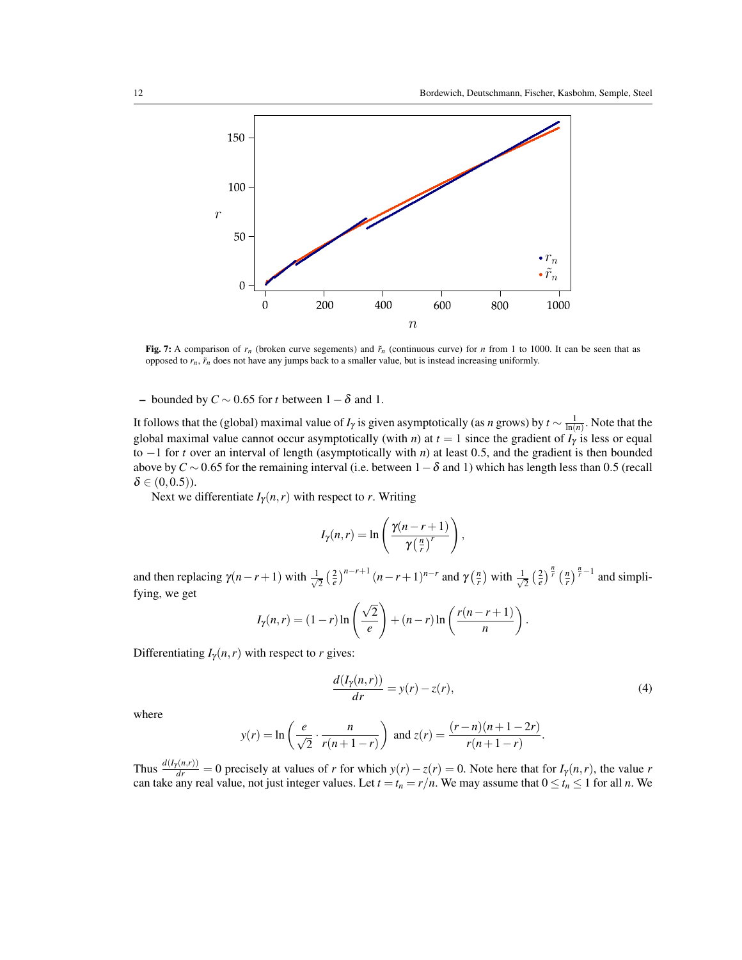<span id="page-11-0"></span>

Fig. 7: A comparison of  $r_n$  (broken curve segements) and  $\tilde{r}_n$  (continuous curve) for *n* from 1 to 1000. It can be seen that as opposed to  $r_n$ ,  $\tilde{r}_n$  does not have any jumps back to a smaller value, but is instead increasing uniformly.

– bounded by *C* ∼ 0.65 for *t* between 1−δ and 1.

It follows that the (global) maximal value of *I*<sub>γ</sub> is given asymptotically (as *n* grows) by  $t \sim \frac{1}{\ln(n)}$ . Note that the global maximal value cannot occur asymptotically (with *n*) at  $t = 1$  since the gradient of  $I_{\gamma}$  is less or equal to −1 for *t* over an interval of length (asymptotically with *n*) at least 0.5, and the gradient is then bounded above by  $C \sim 0.65$  for the remaining interval (i.e. between  $1-\delta$  and 1) which has length less than 0.5 (recall  $\delta \in (0, 0.5)$ ).

Next we differentiate  $I_{\gamma}(n,r)$  with respect to *r*. Writing

$$
I_{\gamma}(n,r) = \ln\left(\frac{\gamma(n-r+1)}{\gamma\left(\frac{n}{r}\right)^r}\right),\,
$$

and then replacing  $\gamma(n-r+1)$  with  $\frac{1}{\sqrt{n}}$  $\frac{1}{2} \left(\frac{2}{e}\right)^{n-r+1} (n-r+1)^{n-r}$  and  $\gamma\left(\frac{n}{r}\right)$  with  $\frac{1}{\sqrt{n}}$  $\frac{1}{2} \left(\frac{2}{e}\right)^{\frac{n}{r}} \left(\frac{n}{r}\right)^{\frac{n}{r}-1}$  and simplifying, we get

$$
I_{\gamma}(n,r) = (1-r)\ln\left(\frac{\sqrt{2}}{e}\right) + (n-r)\ln\left(\frac{r(n-r+1)}{n}\right).
$$

<span id="page-11-1"></span>Differentiating  $I_{\gamma}(n,r)$  with respect to *r* gives:

$$
\frac{d(I_{\gamma}(n,r))}{dr} = y(r) - z(r),\tag{4}
$$

where

$$
y(r) = \ln\left(\frac{e}{\sqrt{2}} \cdot \frac{n}{r(n+1-r)}\right)
$$
 and  $z(r) = \frac{(r-n)(n+1-2r)}{r(n+1-r)}$ .

Thus  $\frac{d(I_Y(n,r))}{dr} = 0$  precisely at values of *r* for which  $y(r) - z(r) = 0$ . Note here that for  $I_Y(n,r)$ , the value *r* can take any real value, not just integer values. Let  $t = t_n = r/n$ . We may assume that  $0 \le t_n \le 1$  for all *n*. We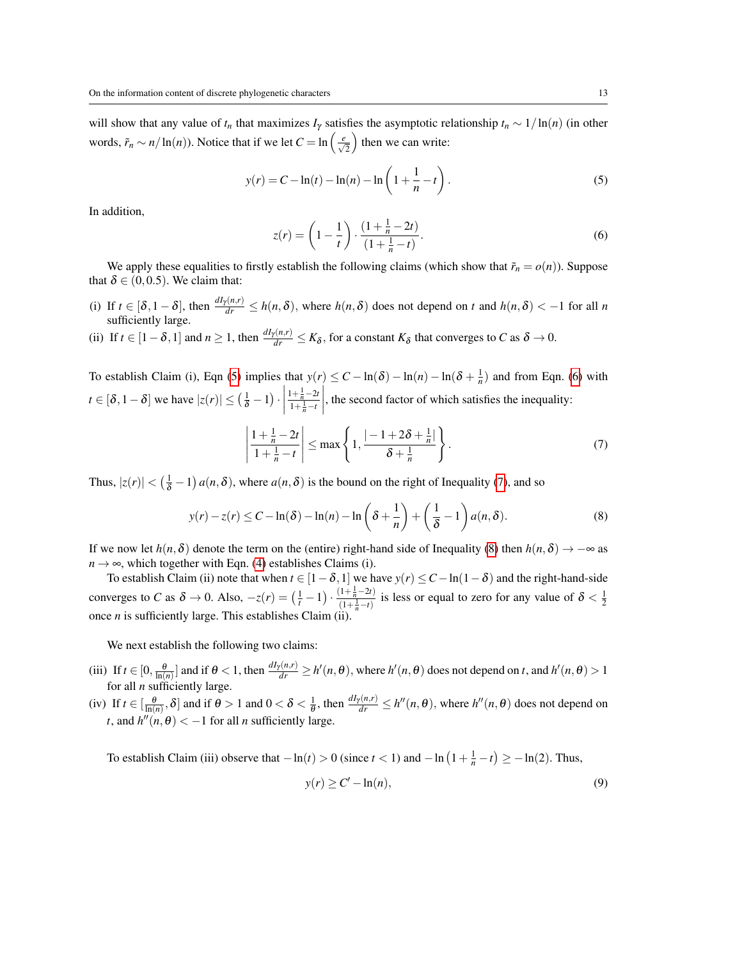will show that any value of  $t_n$  that maximizes  $I_\gamma$  satisfies the asymptotic relationship  $t_n \sim 1/\ln(n)$  (in other words,  $\tilde{r}_n \sim n/\ln(n)$ ). Notice that if we let  $C = \ln\left(\frac{e}{\sqrt{2}}\right)$  $\int$  then we can write:

$$
y(r) = C - \ln(t) - \ln(n) - \ln\left(1 + \frac{1}{n} - t\right).
$$
 (5)

<span id="page-12-1"></span>In addition,

<span id="page-12-0"></span>
$$
z(r) = \left(1 - \frac{1}{t}\right) \cdot \frac{\left(1 + \frac{1}{n} - 2t\right)}{\left(1 + \frac{1}{n} - t\right)}.
$$
\n<sup>(6)</sup>

We apply these equalities to firstly establish the following claims (which show that  $\tilde{r}_n = o(n)$ ). Suppose that  $\delta \in (0, 0.5)$ . We claim that:

(i) If  $t \in [\delta, 1-\delta]$ , then  $\frac{dI_{\gamma}(n,r)}{dr} \leq h(n,\delta)$ , where  $h(n,\delta)$  does not depend on  $t$  and  $h(n,\delta) < -1$  for all  $n$ sufficiently large.

(ii) If  $t \in [1-\delta, 1]$  and  $n \ge 1$ , then  $\frac{dI_Y(n,r)}{dr} \le K_\delta$ , for a constant  $K_\delta$  that converges to *C* as  $\delta \to 0$ .

To establish Claim (i), Eqn [\(5\)](#page-12-0) implies that  $y(r) \leq C - \ln(\delta) - \ln(n) - \ln(\delta + \frac{1}{n})$  and from Eqn. [\(6\)](#page-12-1) with *t* ∈ [ $\delta$ , 1 –  $\delta$ ] we have  $|z(r)| \leq (\frac{1}{\delta} - 1) \cdot$  $1 + \frac{1}{n} - 2t$  $1 + \frac{1}{n} - t$  , the second factor of which satisfies the inequality:

<span id="page-12-3"></span><span id="page-12-2"></span>
$$
\left|\frac{1+\frac{1}{n}-2t}{1+\frac{1}{n}-t}\right| \le \max\left\{1, \frac{|-1+2\delta+\frac{1}{n}|}{\delta+\frac{1}{n}}\right\}.
$$
 (7)

Thus,  $|z(r)| < (\frac{1}{\delta} - 1) a(n, \delta)$ , where  $a(n, \delta)$  is the bound on the right of Inequality [\(7\)](#page-12-2), and so

$$
y(r) - z(r) \le C - \ln(\delta) - \ln(n) - \ln\left(\delta + \frac{1}{n}\right) + \left(\frac{1}{\delta} - 1\right) a(n, \delta).
$$
 (8)

If we now let  $h(n, \delta)$  denote the term on the (entire) right-hand side of Inequality [\(8\)](#page-12-3) then  $h(n, \delta) \to -\infty$  as  $n \rightarrow \infty$ , which together with Eqn. [\(4\)](#page-11-1) establishes Claims (i).

To establish Claim (ii) note that when  $t \in [1-\delta, 1]$  we have  $y(r) \leq C - \ln(1-\delta)$  and the right-hand-side converges to *C* as  $\delta \to 0$ . Also,  $-z(r) = (\frac{1}{t} - 1) \cdot \frac{(1 + \frac{1}{n} - 2t)}{(1 + \frac{1}{n} - t)}$  $\frac{(1+\frac{1}{n}-2t)}{(1+\frac{1}{n}-t)}$  is less or equal to zero for any value of  $\delta < \frac{1}{2}$ once  $n$  is sufficiently large. This establishes Claim (ii).

We next establish the following two claims:

- (iii) If  $t \in [0, \frac{\theta}{\ln(n)}]$  and if  $\theta < 1$ , then  $\frac{dI_Y(n,r)}{dr} \geq h'(n,\theta)$ , where  $h'(n,\theta)$  does not depend on *t*, and  $h'(n,\theta) > 1$ for all *n* sufficiently large.
- (iv) If  $t \in \left[\frac{\theta}{\ln(n)}, \delta\right]$  and if  $\theta > 1$  and  $0 < \delta < \frac{1}{\theta}$ , then  $\frac{dI_{\gamma}(n,r)}{dr} \leq h''(n,\theta)$ , where  $h''(n,\theta)$  does not depend on *t*, and  $h''(n, \theta) < -1$  for all *n* sufficiently large.

To establish Claim (iii) observe that  $-\ln(t) > 0$  (since  $t < 1$ ) and  $-\ln(1 + \frac{1}{n} - t) \ge -\ln(2)$ . Thus,

<span id="page-12-4"></span>
$$
y(r) \ge C' - \ln(n),\tag{9}
$$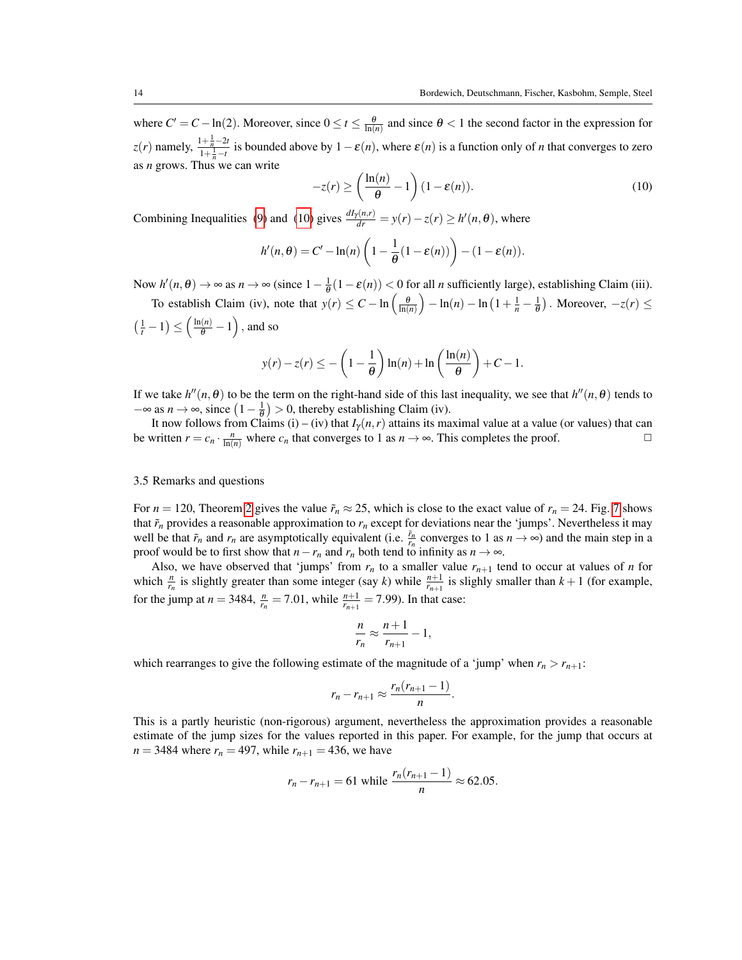where  $C' = C - \ln(2)$ . Moreover, since  $0 \le t \le \frac{\theta}{\ln(n)}$  and since  $\theta < 1$  the second factor in the expression for *z*(*r*) namely,  $\frac{1 + \frac{1}{n} - 2t}{1 + \frac{1}{n}}$  $\frac{1+\frac{n}{n}-2t}{1+\frac{1}{n}-t}$  is bounded above by  $1-\varepsilon(n)$ , where  $\varepsilon(n)$  is a function only of *n* that converges to zero as *n* grows. Thus we can write

<span id="page-13-0"></span>
$$
-z(r) \ge \left(\frac{\ln(n)}{\theta} - 1\right)(1 - \varepsilon(n)).\tag{10}
$$

Combining Inequalities [\(9\)](#page-12-4) and [\(10\)](#page-13-0) gives  $\frac{dI_{\gamma}(n,r)}{dr} = y(r) - z(r) \ge h'(n,\theta)$ , where

$$
h'(n,\theta) = C' - \ln(n) \left( 1 - \frac{1}{\theta} (1 - \varepsilon(n)) \right) - (1 - \varepsilon(n)).
$$

Now  $h'(n, \theta) \to \infty$  as  $n \to \infty$  (since  $1 - \frac{1}{\theta}(1 - \varepsilon(n)) < 0$  for all *n* sufficiently large), establishing Claim (iii).

To establish Claim (iv), note that  $y(r) \leq C - \ln\left(\frac{\theta}{\ln(n)}\right) - \ln(n) - \ln\left(1 + \frac{1}{n} - \frac{1}{\theta}\right)$ . Moreover,  $-z(r) \leq C$  $\left(\frac{1}{t} - 1\right) \le \left(\frac{\ln(n)}{\theta} - 1\right)$ , and so

$$
y(r) - z(r) \le -\left(1 - \frac{1}{\theta}\right) \ln(n) + \ln\left(\frac{\ln(n)}{\theta}\right) + C - 1.
$$

If we take  $h''(n, \theta)$  to be the term on the right-hand side of this last inequality, we see that  $h''(n, \theta)$  tends to  $-\infty$  as  $n \to \infty$ , since  $\left(1 - \frac{1}{\theta}\right) > 0$ , thereby establishing Claim (iv).

It now follows from Claims (i) – (iv) that  $I_{\gamma}(n,r)$  attains its maximal value at a value (or values) that can be written  $r = c_n \cdot \frac{n}{\ln(n)}$  where  $c_n$  that converges to 1 as  $n \to \infty$ . This completes the proof.

# <span id="page-13-1"></span>3.5 Remarks and questions

For  $n = 120$ , Theorem [2](#page-10-1) gives the value  $\tilde{r}_n \approx 25$ , which is close to the exact value of  $r_n = 24$ . Fig. [7](#page-11-0) shows that  $\tilde{r}_n$  provides a reasonable approximation to  $r_n$  except for deviations near the 'jumps'. Nevertheless it may well be that  $\tilde{r}_n$  and  $r_n$  are asymptotically equivalent (i.e.  $\frac{\tilde{r}_n}{r_n}$  converges to 1 as  $n \to \infty$ ) and the main step in a proof would be to first show that *n*−*r*<sub>*n*</sub> and *r*<sub>*n*</sub> both tend to infinity as  $n \to \infty$ .

Also, we have observed that 'jumps' from  $r_n$  to a smaller value  $r_{n+1}$  tend to occur at values of *n* for which  $\frac{n}{r_n}$  is slightly greater than some integer (say *k*) while  $\frac{n+1}{r_{n+1}}$  is slighly smaller than  $k+1$  (for example, for the jump at  $n = 3484$ ,  $\frac{n}{r_n} = 7.01$ , while  $\frac{n+1}{r_{n+1}} = 7.99$ ). In that case:

$$
\frac{n}{r_n} \approx \frac{n+1}{r_{n+1}} - 1,
$$

which rearranges to give the following estimate of the magnitude of a 'jump' when  $r_n > r_{n+1}$ :

$$
r_n-r_{n+1}\approx \frac{r_n(r_{n+1}-1)}{n}.
$$

This is a partly heuristic (non-rigorous) argument, nevertheless the approximation provides a reasonable estimate of the jump sizes for the values reported in this paper. For example, for the jump that occurs at *n* = 3484 where  $r_n$  = 497, while  $r_{n+1}$  = 436, we have

$$
r_n - r_{n+1} = 61
$$
 while  $\frac{r_n(r_{n+1} - 1)}{n} \approx 62.05$ .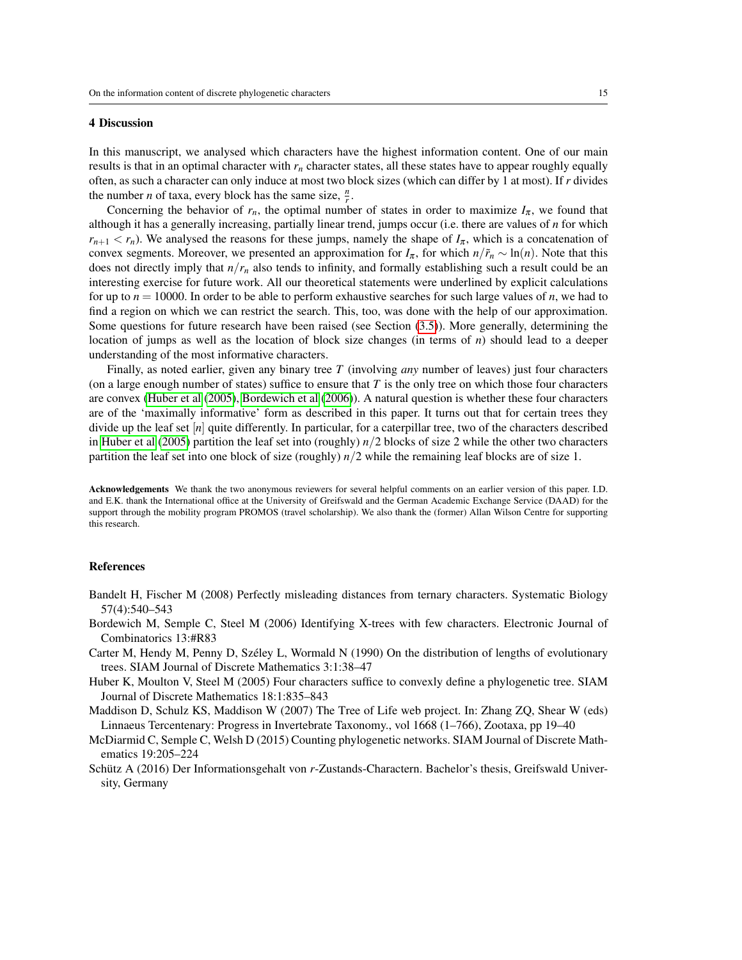#### 4 Discussion

In this manuscript, we analysed which characters have the highest information content. One of our main results is that in an optimal character with  $r<sub>n</sub>$  character states, all these states have to appear roughly equally often, as such a character can only induce at most two block sizes (which can differ by 1 at most). If *r* divides the number *n* of taxa, every block has the same size,  $\frac{n}{r}$ .

Concerning the behavior of  $r_n$ , the optimal number of states in order to maximize  $I_\pi$ , we found that although it has a generally increasing, partially linear trend, jumps occur (i.e. there are values of *n* for which  $r_{n+1} < r_n$ ). We analysed the reasons for these jumps, namely the shape of  $I_{\pi}$ , which is a concatenation of convex segments. Moreover, we presented an approximation for  $I_{\pi}$ , for which  $n/\tilde{r}_n \sim \ln(n)$ . Note that this does not directly imply that  $n/r<sub>n</sub>$  also tends to infinity, and formally establishing such a result could be an interesting exercise for future work. All our theoretical statements were underlined by explicit calculations for up to  $n = 10000$ . In order to be able to perform exhaustive searches for such large values of  $n$ , we had to find a region on which we can restrict the search. This, too, was done with the help of our approximation. Some questions for future research have been raised (see Section [\(3.5\)](#page-13-1)). More generally, determining the location of jumps as well as the location of block size changes (in terms of *n*) should lead to a deeper understanding of the most informative characters.

Finally, as noted earlier, given any binary tree *T* (involving *any* number of leaves) just four characters (on a large enough number of states) suffice to ensure that *T* is the only tree on which those four characters are convex [\(Huber et al](#page-14-1) [\(2005\)](#page-14-1), [Bordewich et al](#page-14-2) [\(2006\)](#page-14-2)). A natural question is whether these four characters are of the 'maximally informative' form as described in this paper. It turns out that for certain trees they divide up the leaf set [*n*] quite differently. In particular, for a caterpillar tree, two of the characters described in [Huber et al](#page-14-1) [\(2005\)](#page-14-1) partition the leaf set into (roughly) *n*/2 blocks of size 2 while the other two characters partition the leaf set into one block of size (roughly)  $n/2$  while the remaining leaf blocks are of size 1.

Acknowledgements We thank the two anonymous reviewers for several helpful comments on an earlier version of this paper. I.D. and E.K. thank the International office at the University of Greifswald and the German Academic Exchange Service (DAAD) for the support through the mobility program PROMOS (travel scholarship). We also thank the (former) Allan Wilson Centre for supporting this research.

# References

- <span id="page-14-3"></span>Bandelt H, Fischer M (2008) Perfectly misleading distances from ternary characters. Systematic Biology 57(4):540–543
- <span id="page-14-2"></span>Bordewich M, Semple C, Steel M (2006) Identifying X-trees with few characters. Electronic Journal of Combinatorics 13:#R83
- <span id="page-14-4"></span>Carter M, Hendy M, Penny D, Széley L, Wormald N (1990) On the distribution of lengths of evolutionary trees. SIAM Journal of Discrete Mathematics 3:1:38–47
- <span id="page-14-1"></span>Huber K, Moulton V, Steel M (2005) Four characters suffice to convexly define a phylogenetic tree. SIAM Journal of Discrete Mathematics 18:1:835–843
- <span id="page-14-0"></span>Maddison D, Schulz KS, Maddison W (2007) The Tree of Life web project. In: Zhang ZQ, Shear W (eds) Linnaeus Tercentenary: Progress in Invertebrate Taxonomy., vol 1668 (1–766), Zootaxa, pp 19–40
- <span id="page-14-6"></span>McDiarmid C, Semple C, Welsh D (2015) Counting phylogenetic networks. SIAM Journal of Discrete Mathematics 19:205–224
- <span id="page-14-5"></span>Schütz A (2016) Der Informationsgehalt von *r*-Zustands-Charactern. Bachelor's thesis, Greifswald University, Germany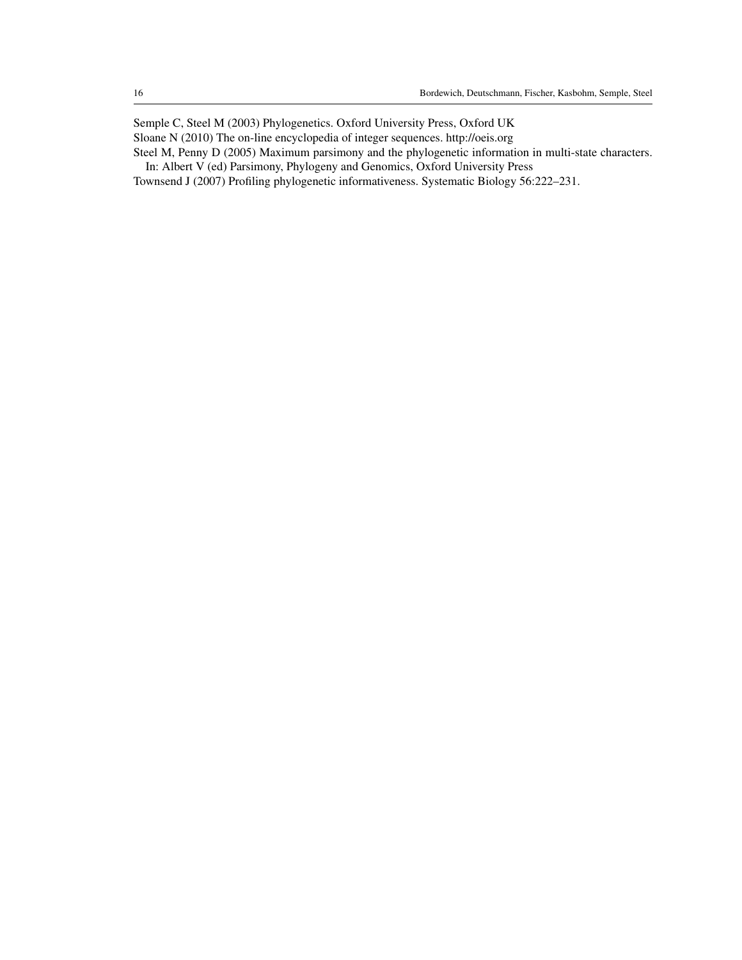<span id="page-15-1"></span>Semple C, Steel M (2003) Phylogenetics. Oxford University Press, Oxford UK

<span id="page-15-3"></span>Sloane N (2010) The on-line encyclopedia of integer sequences. http://oeis.org

<span id="page-15-2"></span>Steel M, Penny D (2005) Maximum parsimony and the phylogenetic information in multi-state characters.

In: Albert V (ed) Parsimony, Phylogeny and Genomics, Oxford University Press

<span id="page-15-0"></span>Townsend J (2007) Profiling phylogenetic informativeness. Systematic Biology 56:222–231.